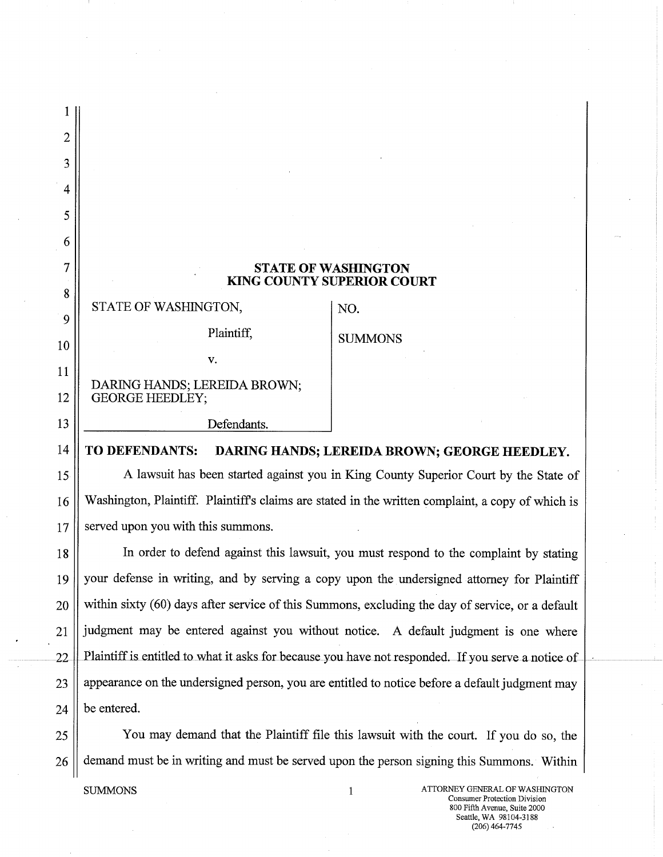| 2               |                                                                                                   |                |  |
|-----------------|---------------------------------------------------------------------------------------------------|----------------|--|
| 3               |                                                                                                   |                |  |
| 4               |                                                                                                   |                |  |
| 5               |                                                                                                   |                |  |
| 6               |                                                                                                   |                |  |
| 7               | <b>STATE OF WASHINGTON</b><br><b>KING COUNTY SUPERIOR COURT</b>                                   |                |  |
| 8               |                                                                                                   |                |  |
| 9               | STATE OF WASHINGTON,                                                                              | NO.            |  |
| 10              | Plaintiff,                                                                                        | <b>SUMMONS</b> |  |
| 11              | V.                                                                                                |                |  |
| 12              | DARING HANDS; LEREIDA BROWN;<br><b>GEORGE HEEDLEY;</b>                                            |                |  |
| 13              | Defendants.                                                                                       |                |  |
| 14              | TO DEFENDANTS:<br>DARING HANDS; LEREIDA BROWN; GEORGE HEEDLEY.                                    |                |  |
| 15 <sub>1</sub> | A lawsuit has been started against you in King County Superior Court by the State of              |                |  |
| 16              | Washington, Plaintiff. Plaintiff's claims are stated in the written complaint, a copy of which is |                |  |
| 17              | served upon you with this summons.                                                                |                |  |
|                 |                                                                                                   |                |  |

18 In order to defend against this lawsuit, you must respond to the complaint by stating 19 your defense in writing, and by serving a copy upon the undersigned attorney for Plaintiff 20 within sixty (60) days after service of this Summons, excluding the day of service, or a default  $21$  || judgment may be entered against you without notice. A default judgment is one where 22 || Plaintiff is entitled to what it asks for because you have not responded. If you serve a notice of  $23$  || appearance on the undersigned person, you are entitled to notice before a default judgment may  $24$  | be entered.

25 ||<br>
You may demand that the Plaintiff file this lawsuit with the court. If you do so, the  $26$   $\parallel$  demand must be in writing and must be served upon the person signing this Summons. Within